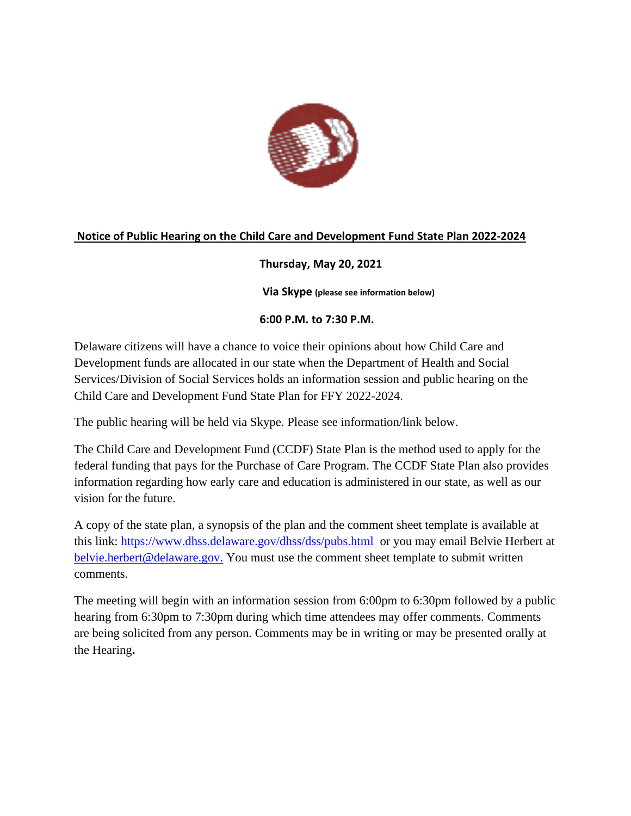

# **Notice of Public Hearing on the Child Care and Development Fund State Plan 2022-2024**

# **Thursday, May 20, 2021**

**Via Skype (please see information below)**

## **6:00 P.M. to 7:30 P.M.**

Delaware citizens will have a chance to voice their opinions about how Child Care and Development funds are allocated in our state when the Department of Health and Social Services/Division of Social Services holds an information session and public hearing on the Child Care and Development Fund State Plan for FFY 2022-2024.

The public hearing will be held via Skype. Please see information/link below.

The Child Care and Development Fund (CCDF) State Plan is the method used to apply for the federal funding that pays for the Purchase of Care Program. The CCDF State Plan also provides information regarding how early care and education is administered in our state, as well as our vision for the future.

A copy of the state plan, a synopsis of the plan and the comment sheet template is available at this link: <https://www.dhss.delaware.gov/dhss/dss/pubs.html> or you may email Belvie Herbert at [belvie.herbert@delaware.gov.](mailto:belvie.herbert@delaware.gov) You must use the comment sheet template to submit written comments.

The meeting will begin with an information session from 6:00pm to 6:30pm followed by a public hearing from 6:30pm to 7:30pm during which time attendees may offer comments. Comments are being solicited from any person. Comments may be in writing or may be presented orally at the Hearing**.**